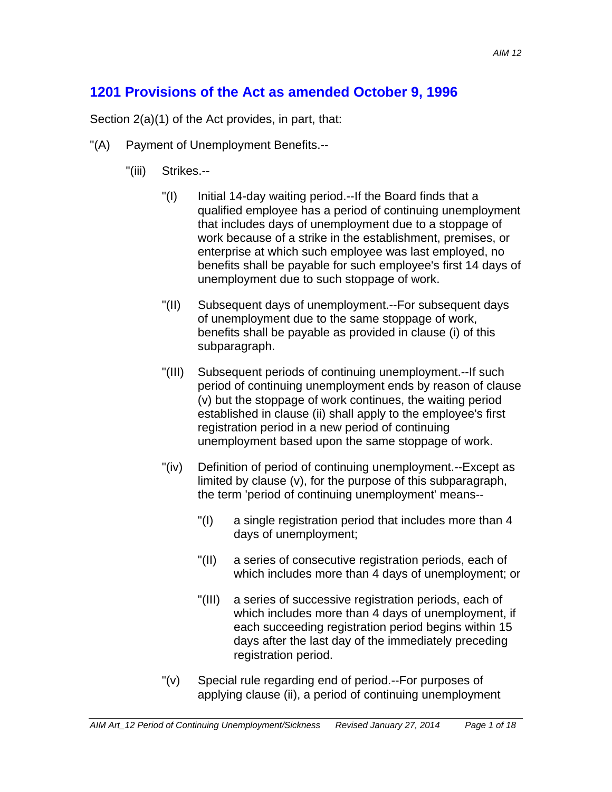## **1201 Provisions of the Act as amended October 9, 1996**

Section 2(a)(1) of the Act provides, in part, that:

- "(A) Payment of Unemployment Benefits.--
	- "(iii) Strikes.--
		- "(I) Initial 14-day waiting period.--If the Board finds that a qualified employee has a period of continuing unemployment that includes days of unemployment due to a stoppage of work because of a strike in the establishment, premises, or enterprise at which such employee was last employed, no benefits shall be payable for such employee's first 14 days of unemployment due to such stoppage of work.
		- "(II) Subsequent days of unemployment.--For subsequent days of unemployment due to the same stoppage of work, benefits shall be payable as provided in clause (i) of this subparagraph.
		- "(III) Subsequent periods of continuing unemployment.--If such period of continuing unemployment ends by reason of clause (v) but the stoppage of work continues, the waiting period established in clause (ii) shall apply to the employee's first registration period in a new period of continuing unemployment based upon the same stoppage of work.
		- "(iv) Definition of period of continuing unemployment.--Except as limited by clause (v), for the purpose of this subparagraph, the term 'period of continuing unemployment' means--
			- "(I) a single registration period that includes more than 4 days of unemployment;
			- "(II) a series of consecutive registration periods, each of which includes more than 4 days of unemployment; or
			- "(III) a series of successive registration periods, each of which includes more than 4 days of unemployment, if each succeeding registration period begins within 15 days after the last day of the immediately preceding registration period.
		- "(v) Special rule regarding end of period.--For purposes of applying clause (ii), a period of continuing unemployment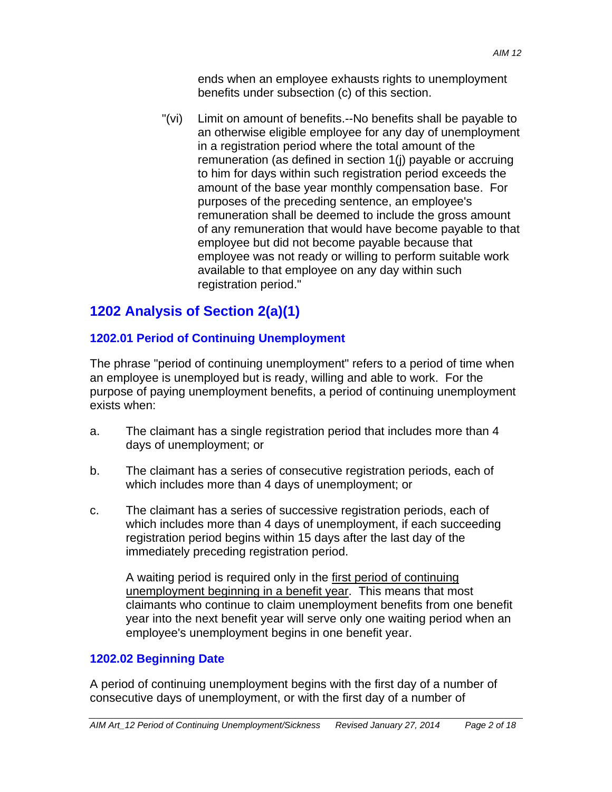"(vi) Limit on amount of benefits.--No benefits shall be payable to an otherwise eligible employee for any day of unemployment in a registration period where the total amount of the remuneration (as defined in section 1(j) payable or accruing to him for days within such registration period exceeds the amount of the base year monthly compensation base. For purposes of the preceding sentence, an employee's remuneration shall be deemed to include the gross amount of any remuneration that would have become payable to that employee but did not become payable because that employee was not ready or willing to perform suitable work available to that employee on any day within such registration period."

# **1202 Analysis of Section 2(a)(1)**

## **1202.01 Period of Continuing Unemployment**

The phrase "period of continuing unemployment" refers to a period of time when an employee is unemployed but is ready, willing and able to work. For the purpose of paying unemployment benefits, a period of continuing unemployment exists when:

- a. The claimant has a single registration period that includes more than 4 days of unemployment; or
- b. The claimant has a series of consecutive registration periods, each of which includes more than 4 days of unemployment; or
- c. The claimant has a series of successive registration periods, each of which includes more than 4 days of unemployment, if each succeeding registration period begins within 15 days after the last day of the immediately preceding registration period.

A waiting period is required only in the first period of continuing unemployment beginning in a benefit year. This means that most claimants who continue to claim unemployment benefits from one benefit year into the next benefit year will serve only one waiting period when an employee's unemployment begins in one benefit year.

## **1202.02 Beginning Date**

A period of continuing unemployment begins with the first day of a number of consecutive days of unemployment, or with the first day of a number of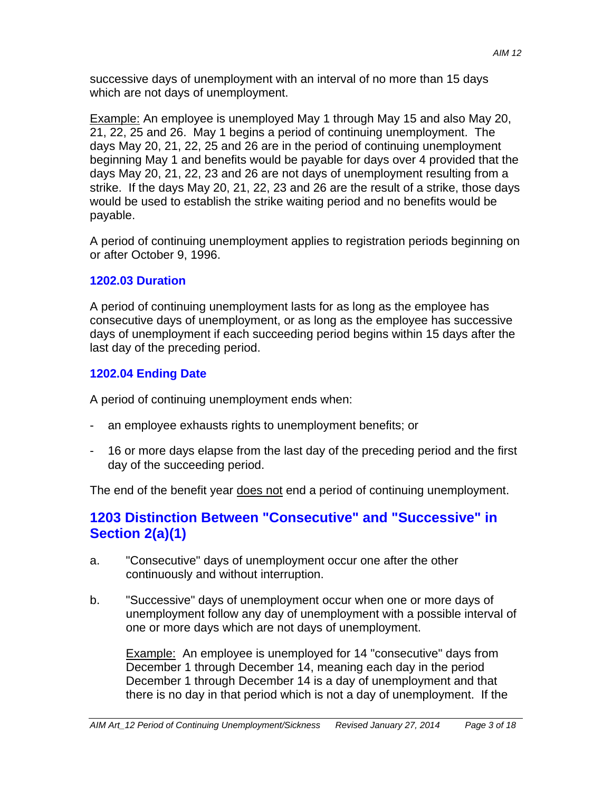successive days of unemployment with an interval of no more than 15 days which are not days of unemployment.

Example: An employee is unemployed May 1 through May 15 and also May 20, 21, 22, 25 and 26. May 1 begins a period of continuing unemployment. The days May 20, 21, 22, 25 and 26 are in the period of continuing unemployment beginning May 1 and benefits would be payable for days over 4 provided that the days May 20, 21, 22, 23 and 26 are not days of unemployment resulting from a strike. If the days May 20, 21, 22, 23 and 26 are the result of a strike, those days would be used to establish the strike waiting period and no benefits would be payable.

A period of continuing unemployment applies to registration periods beginning on or after October 9, 1996.

### **1202.03 Duration**

A period of continuing unemployment lasts for as long as the employee has consecutive days of unemployment, or as long as the employee has successive days of unemployment if each succeeding period begins within 15 days after the last day of the preceding period.

## **1202.04 Ending Date**

A period of continuing unemployment ends when:

- an employee exhausts rights to unemployment benefits; or
- 16 or more days elapse from the last day of the preceding period and the first day of the succeeding period.

The end of the benefit year does not end a period of continuing unemployment.

## **1203 Distinction Between "Consecutive" and "Successive" in Section 2(a)(1)**

- a. "Consecutive" days of unemployment occur one after the other continuously and without interruption.
- b. "Successive" days of unemployment occur when one or more days of unemployment follow any day of unemployment with a possible interval of one or more days which are not days of unemployment.

**Example:** An employee is unemployed for 14 "consecutive" days from December 1 through December 14, meaning each day in the period December 1 through December 14 is a day of unemployment and that there is no day in that period which is not a day of unemployment. If the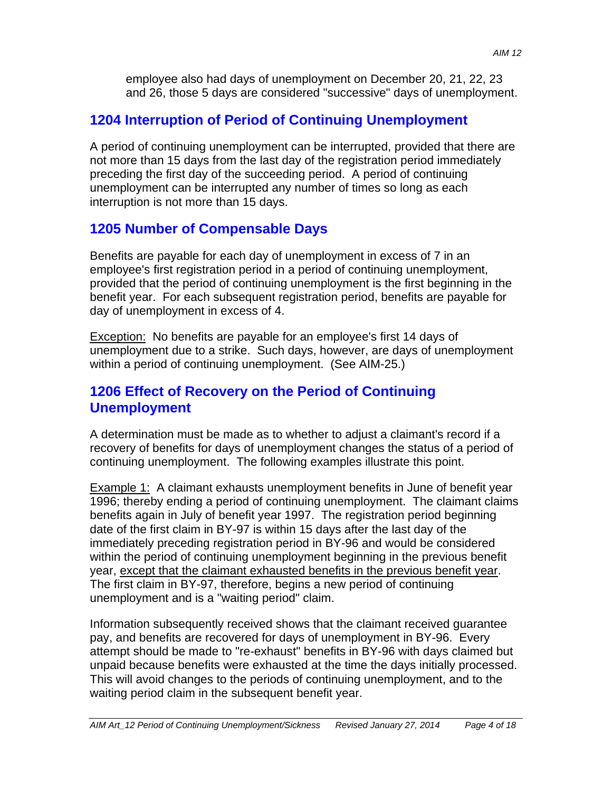employee also had days of unemployment on December 20, 21, 22, 23 and 26, those 5 days are considered "successive" days of unemployment.

## **1204 Interruption of Period of Continuing Unemployment**

A period of continuing unemployment can be interrupted, provided that there are not more than 15 days from the last day of the registration period immediately preceding the first day of the succeeding period. A period of continuing unemployment can be interrupted any number of times so long as each interruption is not more than 15 days.

## **1205 Number of Compensable Days**

Benefits are payable for each day of unemployment in excess of 7 in an employee's first registration period in a period of continuing unemployment, provided that the period of continuing unemployment is the first beginning in the benefit year. For each subsequent registration period, benefits are payable for day of unemployment in excess of 4.

Exception: No benefits are payable for an employee's first 14 days of unemployment due to a strike. Such days, however, are days of unemployment within a period of continuing unemployment. (See AIM-25.)

## **1206 Effect of Recovery on the Period of Continuing Unemployment**

A determination must be made as to whether to adjust a claimant's record if a recovery of benefits for days of unemployment changes the status of a period of continuing unemployment. The following examples illustrate this point.

Example 1: A claimant exhausts unemployment benefits in June of benefit year 1996; thereby ending a period of continuing unemployment. The claimant claims benefits again in July of benefit year 1997. The registration period beginning date of the first claim in BY-97 is within 15 days after the last day of the immediately preceding registration period in BY-96 and would be considered within the period of continuing unemployment beginning in the previous benefit year, except that the claimant exhausted benefits in the previous benefit year. The first claim in BY-97, therefore, begins a new period of continuing unemployment and is a "waiting period" claim.

Information subsequently received shows that the claimant received guarantee pay, and benefits are recovered for days of unemployment in BY-96. Every attempt should be made to "re-exhaust" benefits in BY-96 with days claimed but unpaid because benefits were exhausted at the time the days initially processed. This will avoid changes to the periods of continuing unemployment, and to the waiting period claim in the subsequent benefit year.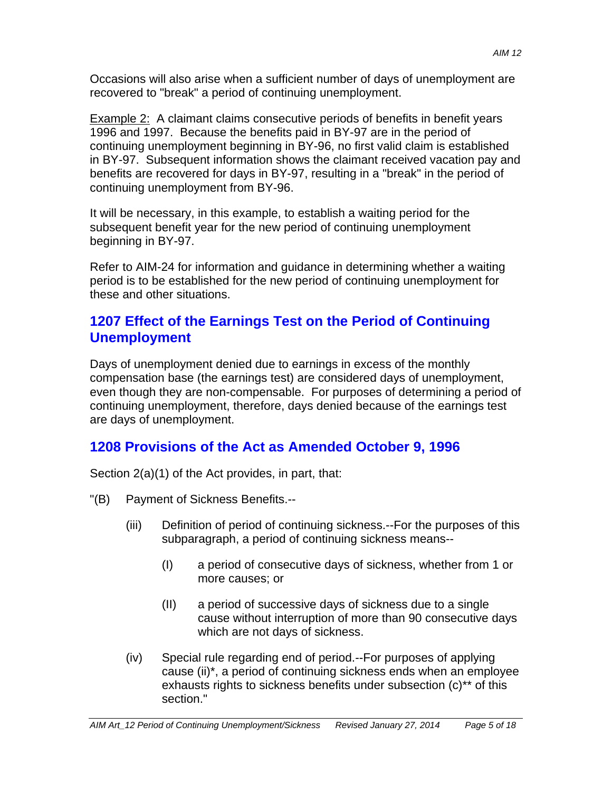Occasions will also arise when a sufficient number of days of unemployment are recovered to "break" a period of continuing unemployment.

Example 2: A claimant claims consecutive periods of benefits in benefit years 1996 and 1997. Because the benefits paid in BY-97 are in the period of continuing unemployment beginning in BY-96, no first valid claim is established in BY-97. Subsequent information shows the claimant received vacation pay and benefits are recovered for days in BY-97, resulting in a "break" in the period of continuing unemployment from BY-96.

It will be necessary, in this example, to establish a waiting period for the subsequent benefit year for the new period of continuing unemployment beginning in BY-97.

Refer to AIM-24 for information and guidance in determining whether a waiting period is to be established for the new period of continuing unemployment for these and other situations.

## **1207 Effect of the Earnings Test on the Period of Continuing Unemployment**

Days of unemployment denied due to earnings in excess of the monthly compensation base (the earnings test) are considered days of unemployment, even though they are non-compensable. For purposes of determining a period of continuing unemployment, therefore, days denied because of the earnings test are days of unemployment.

# **1208 Provisions of the Act as Amended October 9, 1996**

Section 2(a)(1) of the Act provides, in part, that:

- "(B) Payment of Sickness Benefits.--
	- (iii) Definition of period of continuing sickness.--For the purposes of this subparagraph, a period of continuing sickness means--
		- (I) a period of consecutive days of sickness, whether from 1 or more causes; or
		- (II) a period of successive days of sickness due to a single cause without interruption of more than 90 consecutive days which are not days of sickness.
	- (iv) Special rule regarding end of period.--For purposes of applying cause (ii)\*, a period of continuing sickness ends when an employee exhausts rights to sickness benefits under subsection (c)\*\* of this section."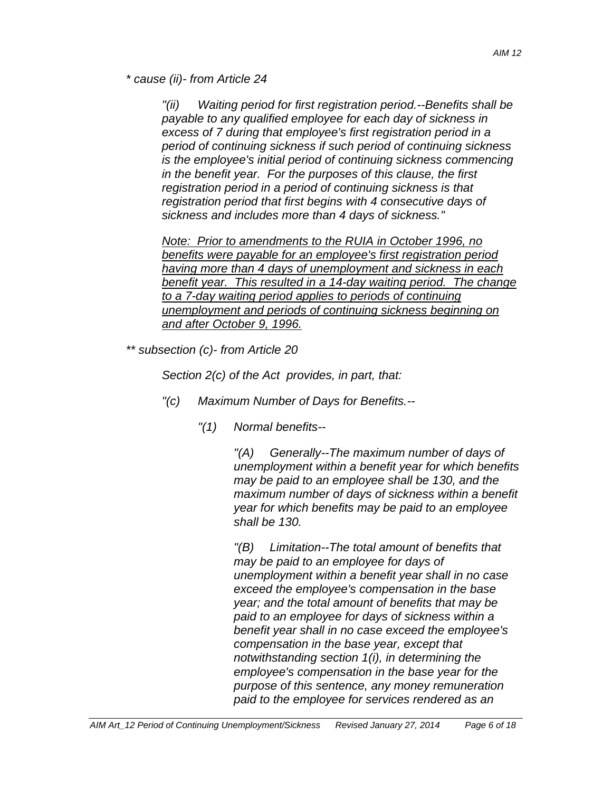*\* cause (ii)- from Article 24* 

*"(ii) Waiting period for first registration period.--Benefits shall be payable to any qualified employee for each day of sickness in excess of 7 during that employee's first registration period in a period of continuing sickness if such period of continuing sickness is the employee's initial period of continuing sickness commencing in the benefit year. For the purposes of this clause, the first registration period in a period of continuing sickness is that registration period that first begins with 4 consecutive days of sickness and includes more than 4 days of sickness."* 

*Note: Prior to amendments to the RUIA in October 1996, no benefits were payable for an employee's first registration period having more than 4 days of unemployment and sickness in each benefit year. This resulted in a 14-day waiting period. The change to a 7-day waiting period applies to periods of continuing unemployment and periods of continuing sickness beginning on and after October 9, 1996.* 

*\*\* subsection (c)- from Article 20* 

*Section 2(c) of the Act provides, in part, that:* 

- *"(c) Maximum Number of Days for Benefits.--* 
	- *"(1) Normal benefits--*

*"(A) Generally--The maximum number of days of unemployment within a benefit year for which benefits may be paid to an employee shall be 130, and the maximum number of days of sickness within a benefit year for which benefits may be paid to an employee shall be 130.* 

*"(B) Limitation--The total amount of benefits that may be paid to an employee for days of unemployment within a benefit year shall in no case exceed the employee's compensation in the base year; and the total amount of benefits that may be paid to an employee for days of sickness within a benefit year shall in no case exceed the employee's compensation in the base year, except that notwithstanding section 1(i), in determining the employee's compensation in the base year for the purpose of this sentence, any money remuneration paid to the employee for services rendered as an*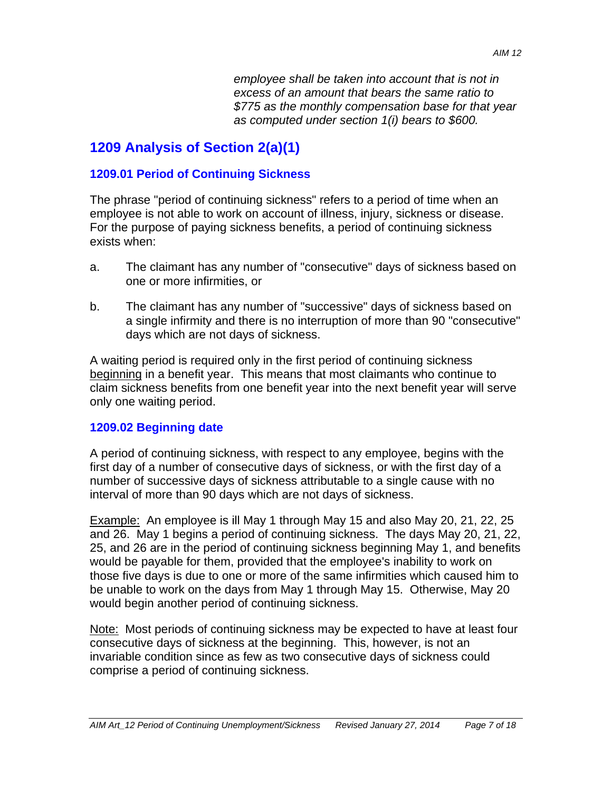*employee shall be taken into account that is not in excess of an amount that bears the same ratio to \$775 as the monthly compensation base for that year as computed under section 1(i) bears to \$600.* 

# **1209 Analysis of Section 2(a)(1)**

### **1209.01 Period of Continuing Sickness**

The phrase "period of continuing sickness" refers to a period of time when an employee is not able to work on account of illness, injury, sickness or disease. For the purpose of paying sickness benefits, a period of continuing sickness exists when:

- a. The claimant has any number of "consecutive" days of sickness based on one or more infirmities, or
- b. The claimant has any number of "successive" days of sickness based on a single infirmity and there is no interruption of more than 90 "consecutive" days which are not days of sickness.

A waiting period is required only in the first period of continuing sickness beginning in a benefit year. This means that most claimants who continue to claim sickness benefits from one benefit year into the next benefit year will serve only one waiting period.

### **1209.02 Beginning date**

A period of continuing sickness, with respect to any employee, begins with the first day of a number of consecutive days of sickness, or with the first day of a number of successive days of sickness attributable to a single cause with no interval of more than 90 days which are not days of sickness.

Example: An employee is ill May 1 through May 15 and also May 20, 21, 22, 25 and 26. May 1 begins a period of continuing sickness. The days May 20, 21, 22, 25, and 26 are in the period of continuing sickness beginning May 1, and benefits would be payable for them, provided that the employee's inability to work on those five days is due to one or more of the same infirmities which caused him to be unable to work on the days from May 1 through May 15. Otherwise, May 20 would begin another period of continuing sickness.

Note: Most periods of continuing sickness may be expected to have at least four consecutive days of sickness at the beginning. This, however, is not an invariable condition since as few as two consecutive days of sickness could comprise a period of continuing sickness.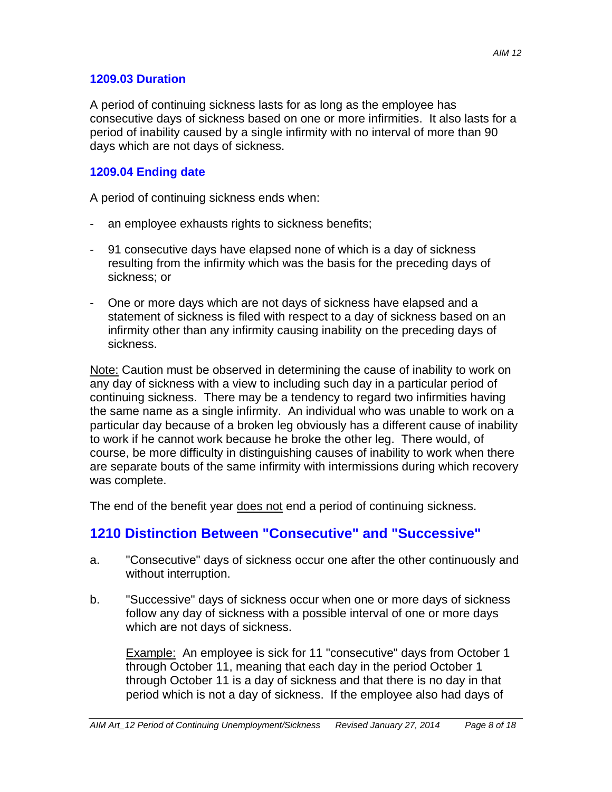### **1209.03 Duration**

A period of continuing sickness lasts for as long as the employee has consecutive days of sickness based on one or more infirmities. It also lasts for a period of inability caused by a single infirmity with no interval of more than 90 days which are not days of sickness.

### **1209.04 Ending date**

A period of continuing sickness ends when:

- an employee exhausts rights to sickness benefits;
- 91 consecutive days have elapsed none of which is a day of sickness resulting from the infirmity which was the basis for the preceding days of sickness; or
- One or more days which are not days of sickness have elapsed and a statement of sickness is filed with respect to a day of sickness based on an infirmity other than any infirmity causing inability on the preceding days of sickness.

Note: Caution must be observed in determining the cause of inability to work on any day of sickness with a view to including such day in a particular period of continuing sickness. There may be a tendency to regard two infirmities having the same name as a single infirmity. An individual who was unable to work on a particular day because of a broken leg obviously has a different cause of inability to work if he cannot work because he broke the other leg. There would, of course, be more difficulty in distinguishing causes of inability to work when there are separate bouts of the same infirmity with intermissions during which recovery was complete.

The end of the benefit year does not end a period of continuing sickness.

## **1210 Distinction Between "Consecutive" and "Successive"**

- a. "Consecutive" days of sickness occur one after the other continuously and without interruption.
- b. "Successive" days of sickness occur when one or more days of sickness follow any day of sickness with a possible interval of one or more days which are not days of sickness.

Example: An employee is sick for 11 "consecutive" days from October 1 through October 11, meaning that each day in the period October 1 through October 11 is a day of sickness and that there is no day in that period which is not a day of sickness. If the employee also had days of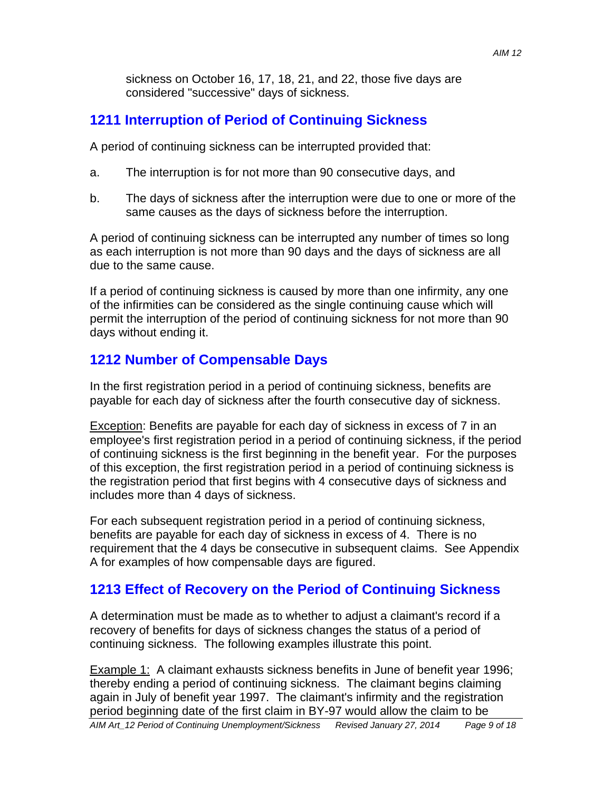sickness on October 16, 17, 18, 21, and 22, those five days are considered "successive" days of sickness.

## **1211 Interruption of Period of Continuing Sickness**

A period of continuing sickness can be interrupted provided that:

- a. The interruption is for not more than 90 consecutive days, and
- b. The days of sickness after the interruption were due to one or more of the same causes as the days of sickness before the interruption.

A period of continuing sickness can be interrupted any number of times so long as each interruption is not more than 90 days and the days of sickness are all due to the same cause.

If a period of continuing sickness is caused by more than one infirmity, any one of the infirmities can be considered as the single continuing cause which will permit the interruption of the period of continuing sickness for not more than 90 days without ending it.

## **1212 Number of Compensable Days**

In the first registration period in a period of continuing sickness, benefits are payable for each day of sickness after the fourth consecutive day of sickness.

Exception: Benefits are payable for each day of sickness in excess of 7 in an employee's first registration period in a period of continuing sickness, if the period of continuing sickness is the first beginning in the benefit year. For the purposes of this exception, the first registration period in a period of continuing sickness is the registration period that first begins with 4 consecutive days of sickness and includes more than 4 days of sickness.

For each subsequent registration period in a period of continuing sickness, benefits are payable for each day of sickness in excess of 4. There is no requirement that the 4 days be consecutive in subsequent claims. See Appendix A for examples of how compensable days are figured.

## **1213 Effect of Recovery on the Period of Continuing Sickness**

A determination must be made as to whether to adjust a claimant's record if a recovery of benefits for days of sickness changes the status of a period of continuing sickness. The following examples illustrate this point.

Example 1: A claimant exhausts sickness benefits in June of benefit year 1996; thereby ending a period of continuing sickness. The claimant begins claiming again in July of benefit year 1997. The claimant's infirmity and the registration period beginning date of the first claim in BY-97 would allow the claim to be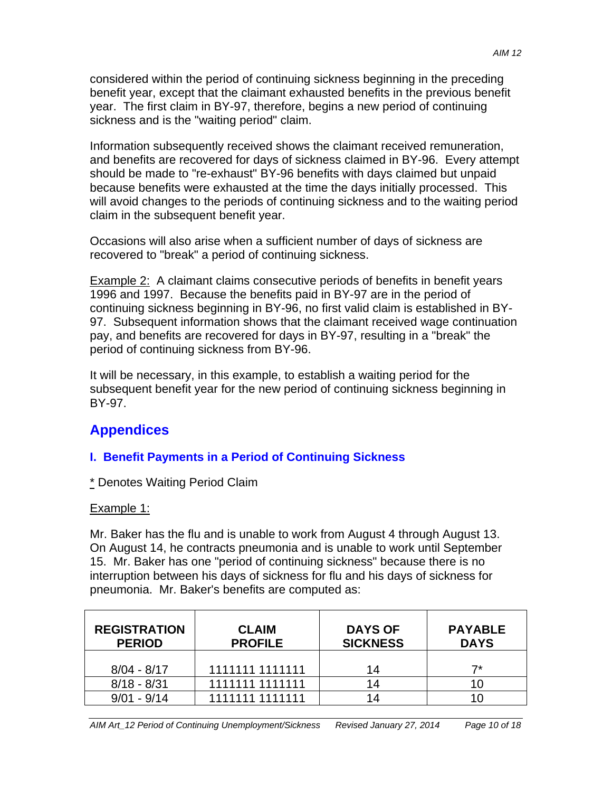considered within the period of continuing sickness beginning in the preceding benefit year, except that the claimant exhausted benefits in the previous benefit year. The first claim in BY-97, therefore, begins a new period of continuing sickness and is the "waiting period" claim.

Information subsequently received shows the claimant received remuneration, and benefits are recovered for days of sickness claimed in BY-96. Every attempt should be made to "re-exhaust" BY-96 benefits with days claimed but unpaid because benefits were exhausted at the time the days initially processed. This will avoid changes to the periods of continuing sickness and to the waiting period claim in the subsequent benefit year.

Occasions will also arise when a sufficient number of days of sickness are recovered to "break" a period of continuing sickness.

Example 2: A claimant claims consecutive periods of benefits in benefit years 1996 and 1997. Because the benefits paid in BY-97 are in the period of continuing sickness beginning in BY-96, no first valid claim is established in BY-97. Subsequent information shows that the claimant received wage continuation pay, and benefits are recovered for days in BY-97, resulting in a "break" the period of continuing sickness from BY-96.

It will be necessary, in this example, to establish a waiting period for the subsequent benefit year for the new period of continuing sickness beginning in BY-97.

# **Appendices**

## **I. Benefit Payments in a Period of Continuing Sickness**

\* Denotes Waiting Period Claim

## Example 1:

Mr. Baker has the flu and is unable to work from August 4 through August 13. On August 14, he contracts pneumonia and is unable to work until September 15. Mr. Baker has one "period of continuing sickness" because there is no interruption between his days of sickness for flu and his days of sickness for pneumonia. Mr. Baker's benefits are computed as:

| <b>REGISTRATION</b><br><b>PERIOD</b> | <b>CLAIM</b><br><b>PROFILE</b> | <b>DAYS OF</b><br><b>SICKNESS</b> | <b>PAYABLE</b><br><b>DAYS</b> |
|--------------------------------------|--------------------------------|-----------------------------------|-------------------------------|
| $8/04 - 8/17$                        | 1111111 1111111                | 14                                | 7*                            |
| $8/18 - 8/31$                        | 1111111 1111111                | 14                                | 10                            |
| $9/01 - 9/14$                        | 1111111 1111111                | 14                                |                               |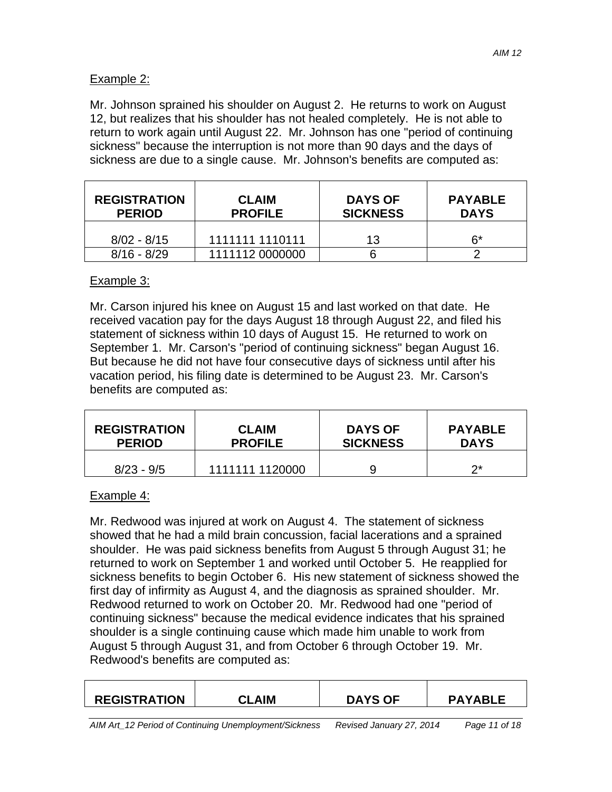### Example 2:

Mr. Johnson sprained his shoulder on August 2. He returns to work on August 12, but realizes that his shoulder has not healed completely. He is not able to return to work again until August 22. Mr. Johnson has one "period of continuing sickness" because the interruption is not more than 90 days and the days of sickness are due to a single cause. Mr. Johnson's benefits are computed as:

| <b>REGISTRATION</b><br><b>PERIOD</b> | <b>CLAIM</b><br><b>PROFILE</b> | <b>DAYS OF</b><br><b>SICKNESS</b> | <b>PAYABLE</b><br><b>DAYS</b> |
|--------------------------------------|--------------------------------|-----------------------------------|-------------------------------|
| $8/02 - 8/15$                        | 1111111 1110111                | 13                                | ճ*                            |
| $8/16 - 8/29$                        | 1111112 0000000                |                                   |                               |

### Example 3:

Mr. Carson injured his knee on August 15 and last worked on that date. He received vacation pay for the days August 18 through August 22, and filed his statement of sickness within 10 days of August 15. He returned to work on September 1. Mr. Carson's "period of continuing sickness" began August 16. But because he did not have four consecutive days of sickness until after his vacation period, his filing date is determined to be August 23. Mr. Carson's benefits are computed as:

| <b>REGISTRATION</b> | <b>CLAIM</b>    | <b>DAYS OF</b>  | <b>PAYABLE</b> |
|---------------------|-----------------|-----------------|----------------|
| <b>PERIOD</b>       | <b>PROFILE</b>  | <b>SICKNESS</b> | <b>DAYS</b>    |
| $8/23 - 9/5$        | 1111111 1120000 |                 | つ*             |

### Example 4:

Mr. Redwood was injured at work on August 4. The statement of sickness showed that he had a mild brain concussion, facial lacerations and a sprained shoulder. He was paid sickness benefits from August 5 through August 31; he returned to work on September 1 and worked until October 5. He reapplied for sickness benefits to begin October 6. His new statement of sickness showed the first day of infirmity as August 4, and the diagnosis as sprained shoulder. Mr. Redwood returned to work on October 20. Mr. Redwood had one "period of continuing sickness" because the medical evidence indicates that his sprained shoulder is a single continuing cause which made him unable to work from August 5 through August 31, and from October 6 through October 19. Mr. Redwood's benefits are computed as:

| <b>REGISTRATION</b> | <b>CLAIM</b> | <b>DAYS OF</b> | <b>PAYABLE</b> |
|---------------------|--------------|----------------|----------------|
|                     |              |                |                |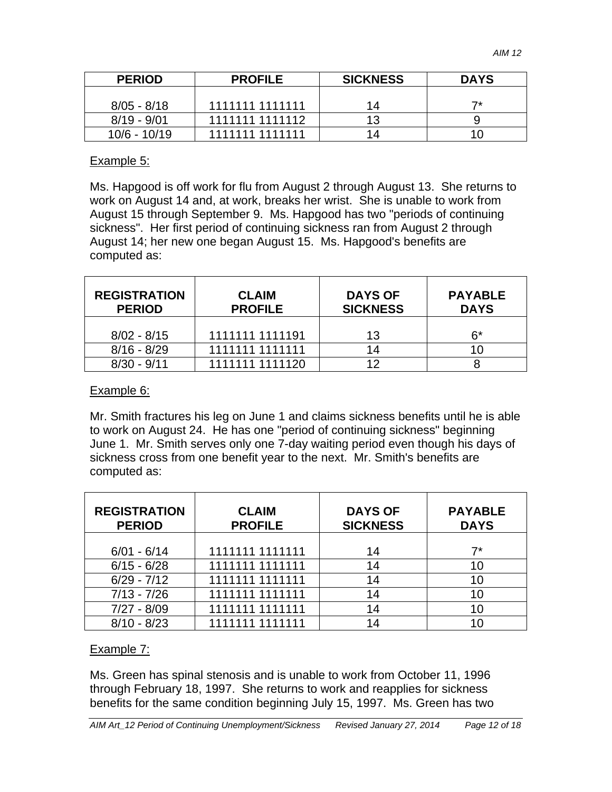| <b>PERIOD</b> | <b>PROFILE</b>  | <b>SICKNESS</b> | <b>DAYS</b> |
|---------------|-----------------|-----------------|-------------|
| $8/05 - 8/18$ | 1111111 1111111 | 14              | ⇁∗          |
| $8/19 - 9/01$ | 1111111 1111112 | ィっ              |             |
| 10/6 - 10/19  | 1111111 1111111 | 1⊿              |             |

### Example 5:

Ms. Hapgood is off work for flu from August 2 through August 13. She returns to work on August 14 and, at work, breaks her wrist. She is unable to work from August 15 through September 9. Ms. Hapgood has two "periods of continuing sickness". Her first period of continuing sickness ran from August 2 through August 14; her new one began August 15. Ms. Hapgood's benefits are computed as:

| <b>REGISTRATION</b><br><b>PERIOD</b> | <b>CLAIM</b><br><b>PROFILE</b> | <b>DAYS OF</b><br><b>SICKNESS</b> | <b>PAYABLE</b><br><b>DAYS</b> |
|--------------------------------------|--------------------------------|-----------------------------------|-------------------------------|
| $8/02 - 8/15$                        | 1111111 1111191                | 13                                | 6*                            |
| $8/16 - 8/29$                        | 1111111 1111111                | 14                                | 10                            |
| $8/30 - 9/11$                        | 1111111 1111120                | 12                                |                               |

### Example 6:

Mr. Smith fractures his leg on June 1 and claims sickness benefits until he is able to work on August 24. He has one "period of continuing sickness" beginning June 1. Mr. Smith serves only one 7-day waiting period even though his days of sickness cross from one benefit year to the next. Mr. Smith's benefits are computed as:

| <b>REGISTRATION</b><br><b>PERIOD</b> | <b>CLAIM</b><br><b>PROFILE</b> | <b>DAYS OF</b><br><b>SICKNESS</b> | <b>PAYABLE</b><br><b>DAYS</b> |
|--------------------------------------|--------------------------------|-----------------------------------|-------------------------------|
|                                      |                                |                                   |                               |
| $6/01 - 6/14$                        | 1111111 1111111                | 14                                | 7*                            |
| $6/15 - 6/28$                        | 1111111 1111111                | 14                                | 10                            |
| $6/29 - 7/12$                        | 1111111 1111111                | 14                                | 10                            |
| $7/13 - 7/26$                        | 1111111 1111111                | 14                                | 10                            |
| $7/27 - 8/09$                        | 1111111 1111111                | 14                                | 10                            |
| $8/10 - 8/23$                        | 1111111 1111111                | 14                                | 10                            |

### Example 7:

Ms. Green has spinal stenosis and is unable to work from October 11, 1996 through February 18, 1997. She returns to work and reapplies for sickness benefits for the same condition beginning July 15, 1997. Ms. Green has two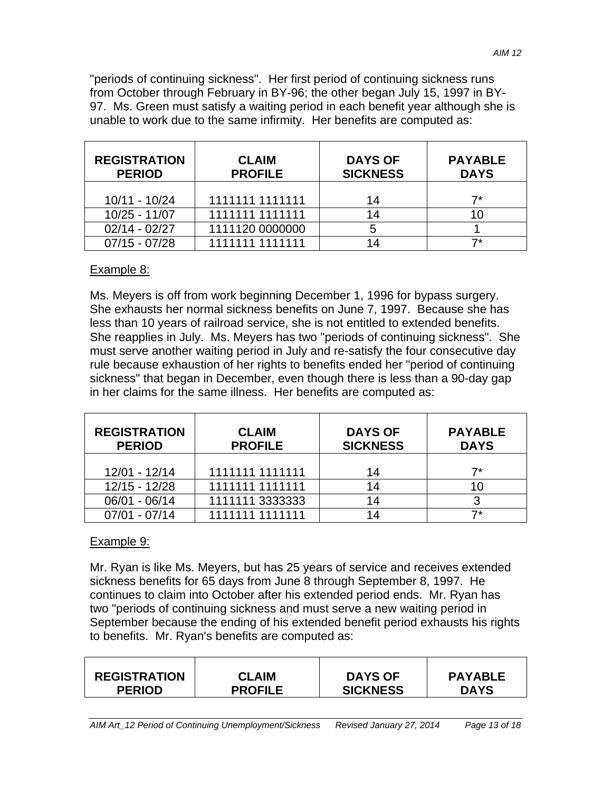"periods of continuing sickness". Her first period of continuing sickness runs from October through February in BY-96; the other began July 15, 1997 in BY-97. Ms. Green must satisfy a waiting period in each benefit year although she is unable to work due to the same infirmity. Her benefits are computed as:

| <b>REGISTRATION</b><br><b>PERIOD</b> | <b>CLAIM</b><br><b>PROFILE</b> | <b>DAYS OF</b><br><b>SICKNESS</b> | <b>PAYABLE</b><br><b>DAYS</b> |
|--------------------------------------|--------------------------------|-----------------------------------|-------------------------------|
| 10/11 - 10/24                        | 1111111 1111111                | 14                                | 7*                            |
| $10/25 - 11/07$                      | 1111111 1111111                | 14                                |                               |
| $02/14 - 02/27$                      | 1111120 0000000                | 5                                 |                               |
| $07/15 - 07/28$                      | 1111111 1111111                |                                   |                               |

### Example 8:

Ms. Meyers is off from work beginning December 1, 1996 for bypass surgery. She exhausts her normal sickness benefits on June 7, 1997. Because she has less than 10 years of railroad service, she is not entitled to extended benefits. She reapplies in July. Ms. Meyers has two "periods of continuing sickness". She must serve another waiting period in July and re-satisfy the four consecutive day rule because exhaustion of her rights to benefits ended her "period of continuing sickness" that began in December, even though there is less than a 90-day gap in her claims for the same illness. Her benefits are computed as:

| <b>REGISTRATION</b><br><b>PERIOD</b> | <b>CLAIM</b><br><b>PROFILE</b> | <b>DAYS OF</b><br><b>SICKNESS</b> | <b>PAYABLE</b><br><b>DAYS</b> |
|--------------------------------------|--------------------------------|-----------------------------------|-------------------------------|
| 12/01 - 12/14                        | 1111111 1111111                | 14                                | 7*                            |
| 12/15 - 12/28                        | 1111111 1111111                | 14                                | 10                            |
| 06/01 - 06/14                        | 1111111 3333333                | 14                                | 3                             |
| $07/01 - 07/14$                      | 1111111 1111111                | 14                                | 7*                            |

### Example 9:

Mr. Ryan is like Ms. Meyers, but has 25 years of service and receives extended sickness benefits for 65 days from June 8 through September 8, 1997. He continues to claim into October after his extended period ends. Mr. Ryan has two "periods of continuing sickness and must serve a new waiting period in September because the ending of his extended benefit period exhausts his rights to benefits. Mr. Ryan's benefits are computed as:

| <b>CLAIM</b>   | <b>DAYS OF</b>  | <b>PAYABLE</b> |
|----------------|-----------------|----------------|
| <b>PROFILE</b> | <b>SICKNESS</b> | <b>DAYS</b>    |
|                |                 |                |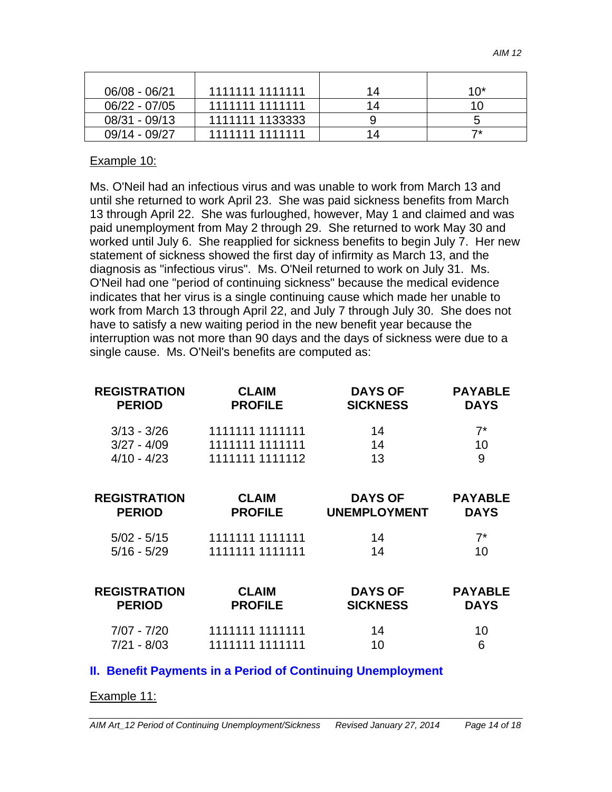| 06/08 - 06/21   | 1111111 1111111 | 14 | 10* |
|-----------------|-----------------|----|-----|
| $06/22 - 07/05$ | 1111111 1111111 | 14 | 10  |
| 08/31 - 09/13   | 1111111 1133333 |    | ხ   |
| 09/14 - 09/27   | 1111111 1111111 | 14 | ⇁∗  |

### Example 10:

Ms. O'Neil had an infectious virus and was unable to work from March 13 and until she returned to work April 23. She was paid sickness benefits from March 13 through April 22. She was furloughed, however, May 1 and claimed and was paid unemployment from May 2 through 29. She returned to work May 30 and worked until July 6. She reapplied for sickness benefits to begin July 7. Her new statement of sickness showed the first day of infirmity as March 13, and the diagnosis as "infectious virus". Ms. O'Neil returned to work on July 31. Ms. O'Neil had one "period of continuing sickness" because the medical evidence indicates that her virus is a single continuing cause which made her unable to work from March 13 through April 22, and July 7 through July 30. She does not have to satisfy a new waiting period in the new benefit year because the interruption was not more than 90 days and the days of sickness were due to a single cause. Ms. O'Neil's benefits are computed as:

| <b>REGISTRATION</b><br><b>PERIOD</b> | <b>CLAIM</b><br><b>PROFILE</b> | <b>DAYS OF</b><br><b>SICKNESS</b>     | <b>PAYABLE</b><br><b>DAYS</b> |
|--------------------------------------|--------------------------------|---------------------------------------|-------------------------------|
| $3/13 - 3/26$                        | 1111111 1111111                | 14                                    | $7^*$                         |
| $3/27 - 4/09$                        | 1111111 1111111                | 14                                    | 10                            |
| $4/10 - 4/23$                        | 1111111 1111112                | 13                                    | 9                             |
| <b>REGISTRATION</b><br><b>PERIOD</b> | <b>CLAIM</b><br><b>PROFILE</b> | <b>DAYS OF</b><br><b>UNEMPLOYMENT</b> | <b>PAYABLE</b><br><b>DAYS</b> |
| $5/02 - 5/15$                        | 1111111 1111111                | 14                                    | $7^*$                         |
| $5/16 - 5/29$                        | 1111111 1111111                | 14                                    | 10                            |
| <b>REGISTRATION</b><br><b>PERIOD</b> | <b>CLAIM</b><br><b>PROFILE</b> | <b>DAYS OF</b><br><b>SICKNESS</b>     | <b>PAYABLE</b><br><b>DAYS</b> |
| $7/07 - 7/20$                        | 1111111 1111111                | 14                                    | 10                            |
| $7/21 - 8/03$                        | 1111111 1111111                | 10                                    | 6                             |

### **II. Benefit Payments in a Period of Continuing Unemployment**

#### Example 11: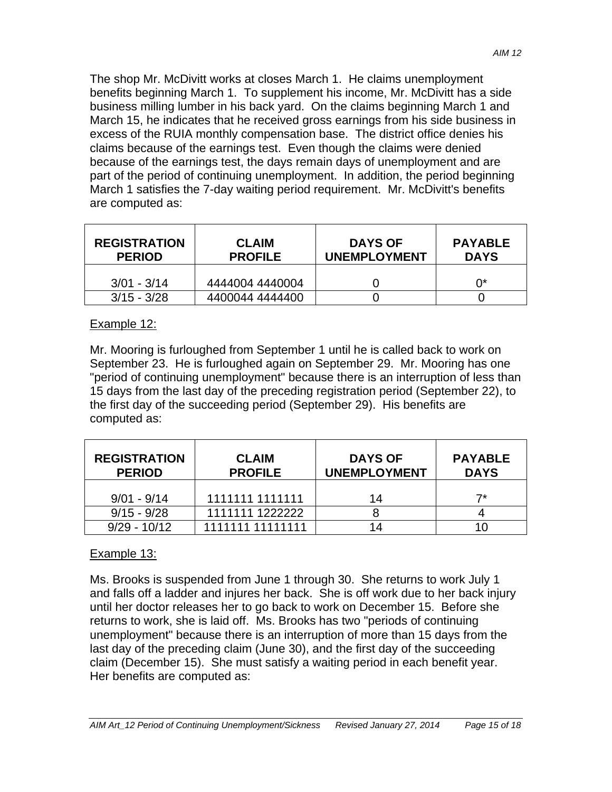The shop Mr. McDivitt works at closes March 1. He claims unemployment benefits beginning March 1. To supplement his income, Mr. McDivitt has a side business milling lumber in his back yard. On the claims beginning March 1 and March 15, he indicates that he received gross earnings from his side business in excess of the RUIA monthly compensation base. The district office denies his claims because of the earnings test. Even though the claims were denied because of the earnings test, the days remain days of unemployment and are part of the period of continuing unemployment. In addition, the period beginning March 1 satisfies the 7-day waiting period requirement. Mr. McDivitt's benefits are computed as:

| <b>REGISTRATION</b><br><b>PERIOD</b> | <b>CLAIM</b><br><b>PROFILE</b> | <b>DAYS OF</b><br><b>UNEMPLOYMENT</b> | <b>PAYABLE</b><br><b>DAYS</b> |
|--------------------------------------|--------------------------------|---------------------------------------|-------------------------------|
| $3/01 - 3/14$                        | 4444004 4440004                |                                       | n*                            |
| $3/15 - 3/28$                        | 4400044 4444400                |                                       |                               |

### Example 12:

Mr. Mooring is furloughed from September 1 until he is called back to work on September 23. He is furloughed again on September 29. Mr. Mooring has one "period of continuing unemployment" because there is an interruption of less than 15 days from the last day of the preceding registration period (September 22), to the first day of the succeeding period (September 29). His benefits are computed as:

| <b>REGISTRATION</b><br><b>PERIOD</b> | <b>CLAIM</b><br><b>PROFILE</b> | <b>DAYS OF</b><br><b>UNEMPLOYMENT</b> | <b>PAYABLE</b><br><b>DAYS</b> |
|--------------------------------------|--------------------------------|---------------------------------------|-------------------------------|
| $9/01 - 9/14$                        | 1111111 1111111                | 14                                    |                               |
| $9/15 - 9/28$                        | 1111111 1222222                |                                       |                               |
| $9/29 - 10/12$                       | 1111111 11111111               |                                       |                               |

### Example 13:

Ms. Brooks is suspended from June 1 through 30. She returns to work July 1 and falls off a ladder and injures her back. She is off work due to her back injury until her doctor releases her to go back to work on December 15. Before she returns to work, she is laid off. Ms. Brooks has two "periods of continuing unemployment" because there is an interruption of more than 15 days from the last day of the preceding claim (June 30), and the first day of the succeeding claim (December 15). She must satisfy a waiting period in each benefit year. Her benefits are computed as: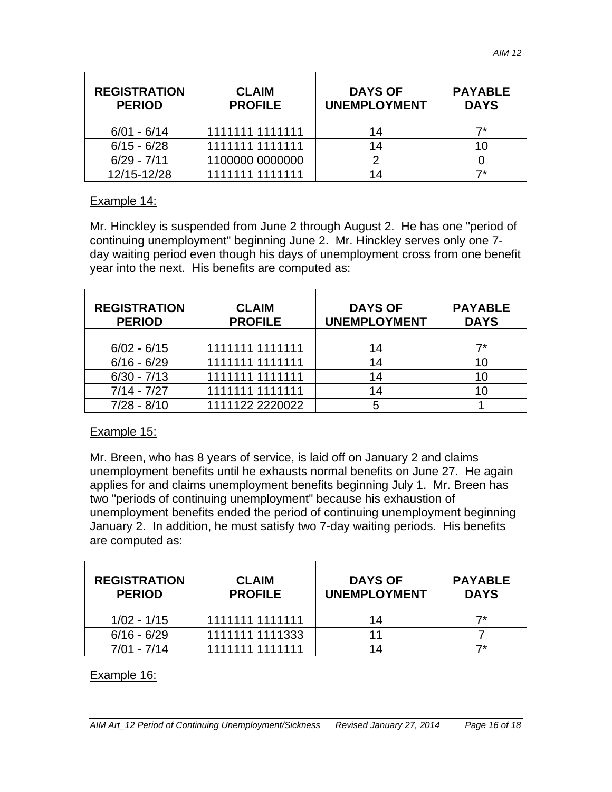| <b>REGISTRATION</b><br><b>PERIOD</b> | <b>CLAIM</b><br><b>PROFILE</b> | <b>DAYS OF</b><br><b>UNEMPLOYMENT</b> | <b>PAYABLE</b><br><b>DAYS</b> |
|--------------------------------------|--------------------------------|---------------------------------------|-------------------------------|
| $6/01 - 6/14$                        | 1111111 1111111                | 14                                    |                               |
| $6/15 - 6/28$                        | 1111111 1111111                | 14                                    |                               |
| $6/29 - 7/11$                        | 1100000 0000000                |                                       |                               |
| 12/15-12/28                          | 1111111 1111111                |                                       |                               |

### Example 14:

Mr. Hinckley is suspended from June 2 through August 2. He has one "period of continuing unemployment" beginning June 2. Mr. Hinckley serves only one 7 day waiting period even though his days of unemployment cross from one benefit year into the next. His benefits are computed as:

| <b>REGISTRATION</b><br><b>PERIOD</b> | <b>CLAIM</b><br><b>PROFILE</b> | <b>DAYS OF</b><br><b>UNEMPLOYMENT</b> | <b>PAYABLE</b><br><b>DAYS</b> |
|--------------------------------------|--------------------------------|---------------------------------------|-------------------------------|
| $6/02 - 6/15$                        | 1111111 1111111                | 14                                    | 7*                            |
| $6/16 - 6/29$                        | 1111111 1111111                | 14                                    | 10                            |
| $6/30 - 7/13$                        | 1111111 1111111                | 14                                    | 10                            |
| $7/14 - 7/27$                        | 1111111 1111111                | 14                                    | 10                            |
| $7/28 - 8/10$                        | 1111122 2220022                |                                       |                               |

### Example 15:

Mr. Breen, who has 8 years of service, is laid off on January 2 and claims unemployment benefits until he exhausts normal benefits on June 27. He again applies for and claims unemployment benefits beginning July 1. Mr. Breen has two "periods of continuing unemployment" because his exhaustion of unemployment benefits ended the period of continuing unemployment beginning January 2. In addition, he must satisfy two 7-day waiting periods. His benefits are computed as:

| <b>REGISTRATION</b><br><b>PERIOD</b> | <b>CLAIM</b><br><b>PROFILE</b> | <b>DAYS OF</b><br><b>UNEMPLOYMENT</b> | <b>PAYABLE</b><br><b>DAYS</b> |
|--------------------------------------|--------------------------------|---------------------------------------|-------------------------------|
| $1/02 - 1/15$                        | 1111111 1111111                | 14                                    | –7*                           |
| $6/16 - 6/29$                        | 1111111 1111333                |                                       |                               |
| $7/01 - 7/14$                        | 1111111 1111111                | 14                                    |                               |

### Example 16: